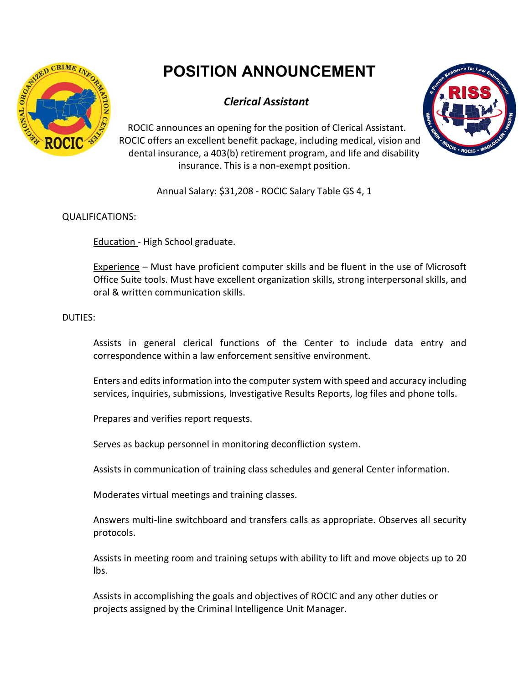

# **POSITION ANNOUNCEMENT**

# *Clerical Assistant*

ROCIC announces an opening for the position of Clerical Assistant. ROCIC offers an excellent benefit package, including medical, vision and dental insurance, a 403(b) retirement program, and life and disability insurance. This is a non-exempt position.



Annual Salary: \$31,208 - ROCIC Salary Table GS 4, 1

## QUALIFICATIONS:

Education - High School graduate.

Experience – Must have proficient computer skills and be fluent in the use of Microsoft Office Suite tools. Must have excellent organization skills, strong interpersonal skills, and oral & written communication skills.

## DUTIES:

Assists in general clerical functions of the Center to include data entry and correspondence within a law enforcement sensitive environment.

Enters and edits information into the computer system with speed and accuracy including services, inquiries, submissions, Investigative Results Reports, log files and phone tolls.

Prepares and verifies report requests.

Serves as backup personnel in monitoring deconfliction system.

Assists in communication of training class schedules and general Center information.

Moderates virtual meetings and training classes.

Answers multi-line switchboard and transfers calls as appropriate. Observes all security protocols.

Assists in meeting room and training setups with ability to lift and move objects up to 20 lbs.

Assists in accomplishing the goals and objectives of ROCIC and any other duties or projects assigned by the Criminal Intelligence Unit Manager.